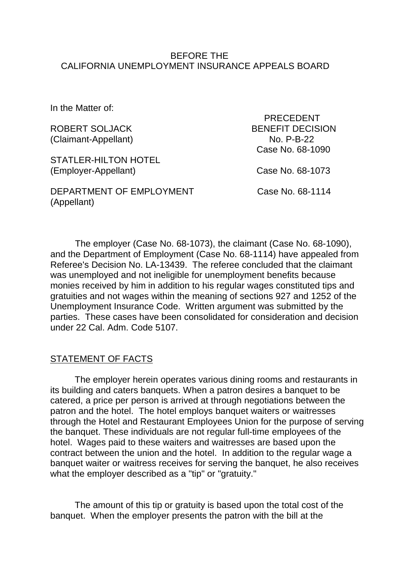#### BEFORE THE CALIFORNIA UNEMPLOYMENT INSURANCE APPEALS BOARD

In the Matter of:

|                             | <b>PRECEDENT</b>        |
|-----------------------------|-------------------------|
| <b>ROBERT SOLJACK</b>       | <b>BENEFIT DECISION</b> |
| (Claimant-Appellant)        | No. P-B-22              |
|                             | Case No. 68-1090        |
| <b>STATLER-HILTON HOTEL</b> |                         |
| (Employer-Appellant)        | Case No. 68-1073        |
|                             |                         |
| DEPARTMENT OF EMPLOYMENT    | Case No. 68-1114        |
| (Appellant)                 |                         |

The employer (Case No. 68-1073), the claimant (Case No. 68-1090), and the Department of Employment (Case No. 68-1114) have appealed from Referee's Decision No. LA-13439. The referee concluded that the claimant was unemployed and not ineligible for unemployment benefits because monies received by him in addition to his regular wages constituted tips and gratuities and not wages within the meaning of sections 927 and 1252 of the Unemployment Insurance Code. Written argument was submitted by the parties. These cases have been consolidated for consideration and decision under 22 Cal. Adm. Code 5107.

## STATEMENT OF FACTS

The employer herein operates various dining rooms and restaurants in its building and caters banquets. When a patron desires a banquet to be catered, a price per person is arrived at through negotiations between the patron and the hotel. The hotel employs banquet waiters or waitresses through the Hotel and Restaurant Employees Union for the purpose of serving the banquet. These individuals are not regular full-time employees of the hotel. Wages paid to these waiters and waitresses are based upon the contract between the union and the hotel. In addition to the regular wage a banquet waiter or waitress receives for serving the banquet, he also receives what the employer described as a "tip" or "gratuity."

The amount of this tip or gratuity is based upon the total cost of the banquet. When the employer presents the patron with the bill at the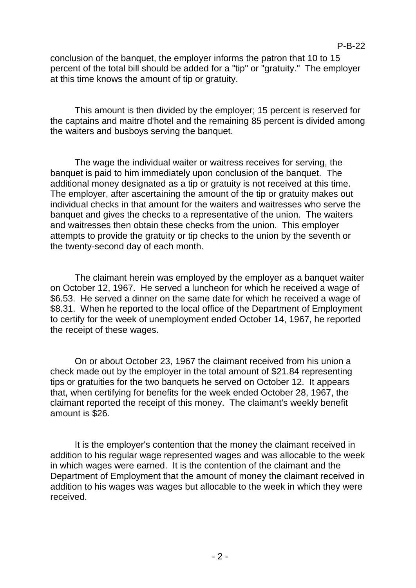conclusion of the banquet, the employer informs the patron that 10 to 15 percent of the total bill should be added for a "tip" or "gratuity." The employer at this time knows the amount of tip or gratuity.

This amount is then divided by the employer; 15 percent is reserved for the captains and maitre d'hotel and the remaining 85 percent is divided among the waiters and busboys serving the banquet.

The wage the individual waiter or waitress receives for serving, the banquet is paid to him immediately upon conclusion of the banquet. The additional money designated as a tip or gratuity is not received at this time. The employer, after ascertaining the amount of the tip or gratuity makes out individual checks in that amount for the waiters and waitresses who serve the banquet and gives the checks to a representative of the union. The waiters and waitresses then obtain these checks from the union. This employer attempts to provide the gratuity or tip checks to the union by the seventh or the twenty-second day of each month.

The claimant herein was employed by the employer as a banquet waiter on October 12, 1967. He served a luncheon for which he received a wage of \$6.53. He served a dinner on the same date for which he received a wage of \$8.31. When he reported to the local office of the Department of Employment to certify for the week of unemployment ended October 14, 1967, he reported the receipt of these wages.

On or about October 23, 1967 the claimant received from his union a check made out by the employer in the total amount of \$21.84 representing tips or gratuities for the two banquets he served on October 12. It appears that, when certifying for benefits for the week ended October 28, 1967, the claimant reported the receipt of this money. The claimant's weekly benefit amount is \$26.

It is the employer's contention that the money the claimant received in addition to his regular wage represented wages and was allocable to the week in which wages were earned. It is the contention of the claimant and the Department of Employment that the amount of money the claimant received in addition to his wages was wages but allocable to the week in which they were received.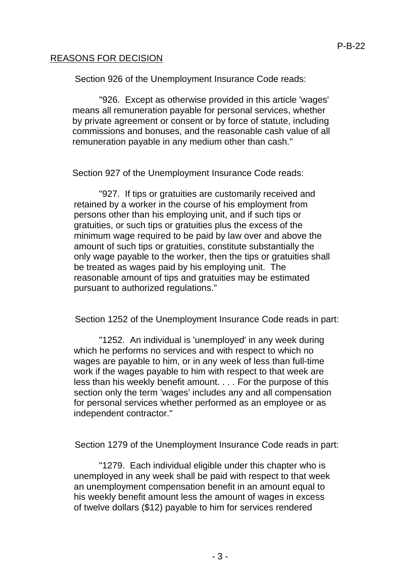## REASONS FOR DECISION

Section 926 of the Unemployment Insurance Code reads:

"926. Except as otherwise provided in this article 'wages' means all remuneration payable for personal services, whether by private agreement or consent or by force of statute, including commissions and bonuses, and the reasonable cash value of all remuneration payable in any medium other than cash."

Section 927 of the Unemployment Insurance Code reads:

"927. If tips or gratuities are customarily received and retained by a worker in the course of his employment from persons other than his employing unit, and if such tips or gratuities, or such tips or gratuities plus the excess of the minimum wage required to be paid by law over and above the amount of such tips or gratuities, constitute substantially the only wage payable to the worker, then the tips or gratuities shall be treated as wages paid by his employing unit. The reasonable amount of tips and gratuities may be estimated pursuant to authorized regulations."

Section 1252 of the Unemployment Insurance Code reads in part:

"1252. An individual is 'unemployed' in any week during which he performs no services and with respect to which no wages are payable to him, or in any week of less than full-time work if the wages payable to him with respect to that week are less than his weekly benefit amount. . . . For the purpose of this section only the term 'wages' includes any and all compensation for personal services whether performed as an employee or as independent contractor."

Section 1279 of the Unemployment Insurance Code reads in part:

"1279. Each individual eligible under this chapter who is unemployed in any week shall be paid with respect to that week an unemployment compensation benefit in an amount equal to his weekly benefit amount less the amount of wages in excess of twelve dollars (\$12) payable to him for services rendered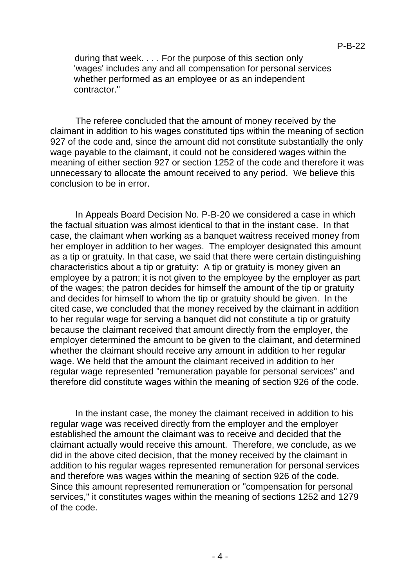during that week. . . . For the purpose of this section only 'wages' includes any and all compensation for personal services whether performed as an employee or as an independent contractor."

The referee concluded that the amount of money received by the claimant in addition to his wages constituted tips within the meaning of section 927 of the code and, since the amount did not constitute substantially the only wage payable to the claimant, it could not be considered wages within the meaning of either section 927 or section 1252 of the code and therefore it was unnecessary to allocate the amount received to any period. We believe this conclusion to be in error.

In Appeals Board Decision No. P-B-20 we considered a case in which the factual situation was almost identical to that in the instant case. In that case, the claimant when working as a banquet waitress received money from her employer in addition to her wages. The employer designated this amount as a tip or gratuity. In that case, we said that there were certain distinguishing characteristics about a tip or gratuity: A tip or gratuity is money given an employee by a patron; it is not given to the employee by the employer as part of the wages; the patron decides for himself the amount of the tip or gratuity and decides for himself to whom the tip or gratuity should be given. In the cited case, we concluded that the money received by the claimant in addition to her regular wage for serving a banquet did not constitute a tip or gratuity because the claimant received that amount directly from the employer, the employer determined the amount to be given to the claimant, and determined whether the claimant should receive any amount in addition to her regular wage. We held that the amount the claimant received in addition to her regular wage represented "remuneration payable for personal services" and therefore did constitute wages within the meaning of section 926 of the code.

In the instant case, the money the claimant received in addition to his regular wage was received directly from the employer and the employer established the amount the claimant was to receive and decided that the claimant actually would receive this amount. Therefore, we conclude, as we did in the above cited decision, that the money received by the claimant in addition to his regular wages represented remuneration for personal services and therefore was wages within the meaning of section 926 of the code. Since this amount represented remuneration or "compensation for personal services," it constitutes wages within the meaning of sections 1252 and 1279 of the code.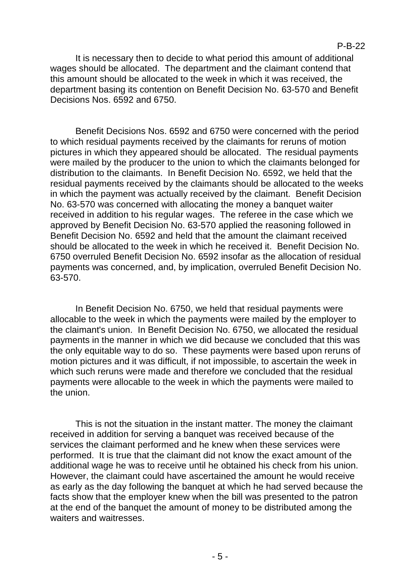## P-B-22

It is necessary then to decide to what period this amount of additional wages should be allocated. The department and the claimant contend that this amount should be allocated to the week in which it was received, the department basing its contention on Benefit Decision No. 63-570 and Benefit Decisions Nos. 6592 and 6750.

Benefit Decisions Nos. 6592 and 6750 were concerned with the period to which residual payments received by the claimants for reruns of motion pictures in which they appeared should be allocated. The residual payments were mailed by the producer to the union to which the claimants belonged for distribution to the claimants. In Benefit Decision No. 6592, we held that the residual payments received by the claimants should be allocated to the weeks in which the payment was actually received by the claimant. Benefit Decision No. 63-570 was concerned with allocating the money a banquet waiter received in addition to his regular wages. The referee in the case which we approved by Benefit Decision No. 63-570 applied the reasoning followed in Benefit Decision No. 6592 and held that the amount the claimant received should be allocated to the week in which he received it. Benefit Decision No. 6750 overruled Benefit Decision No. 6592 insofar as the allocation of residual payments was concerned, and, by implication, overruled Benefit Decision No. 63-570.

In Benefit Decision No. 6750, we held that residual payments were allocable to the week in which the payments were mailed by the employer to the claimant's union. In Benefit Decision No. 6750, we allocated the residual payments in the manner in which we did because we concluded that this was the only equitable way to do so. These payments were based upon reruns of motion pictures and it was difficult, if not impossible, to ascertain the week in which such reruns were made and therefore we concluded that the residual payments were allocable to the week in which the payments were mailed to the union.

This is not the situation in the instant matter. The money the claimant received in addition for serving a banquet was received because of the services the claimant performed and he knew when these services were performed. It is true that the claimant did not know the exact amount of the additional wage he was to receive until he obtained his check from his union. However, the claimant could have ascertained the amount he would receive as early as the day following the banquet at which he had served because the facts show that the employer knew when the bill was presented to the patron at the end of the banquet the amount of money to be distributed among the waiters and waitresses.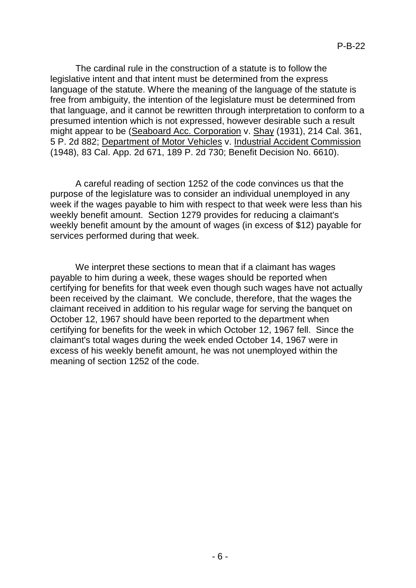The cardinal rule in the construction of a statute is to follow the legislative intent and that intent must be determined from the express language of the statute. Where the meaning of the language of the statute is free from ambiguity, the intention of the legislature must be determined from that language, and it cannot be rewritten through interpretation to conform to a presumed intention which is not expressed, however desirable such a result might appear to be (Seaboard Acc. Corporation v. Shay (1931), 214 Cal. 361, 5 P. 2d 882; Department of Motor Vehicles v. Industrial Accident Commission (1948), 83 Cal. App. 2d 671, 189 P. 2d 730; Benefit Decision No. 6610).

A careful reading of section 1252 of the code convinces us that the purpose of the legislature was to consider an individual unemployed in any week if the wages payable to him with respect to that week were less than his weekly benefit amount. Section 1279 provides for reducing a claimant's weekly benefit amount by the amount of wages (in excess of \$12) payable for services performed during that week.

We interpret these sections to mean that if a claimant has wages payable to him during a week, these wages should be reported when certifying for benefits for that week even though such wages have not actually been received by the claimant. We conclude, therefore, that the wages the claimant received in addition to his regular wage for serving the banquet on October 12, 1967 should have been reported to the department when certifying for benefits for the week in which October 12, 1967 fell. Since the claimant's total wages during the week ended October 14, 1967 were in excess of his weekly benefit amount, he was not unemployed within the meaning of section 1252 of the code.